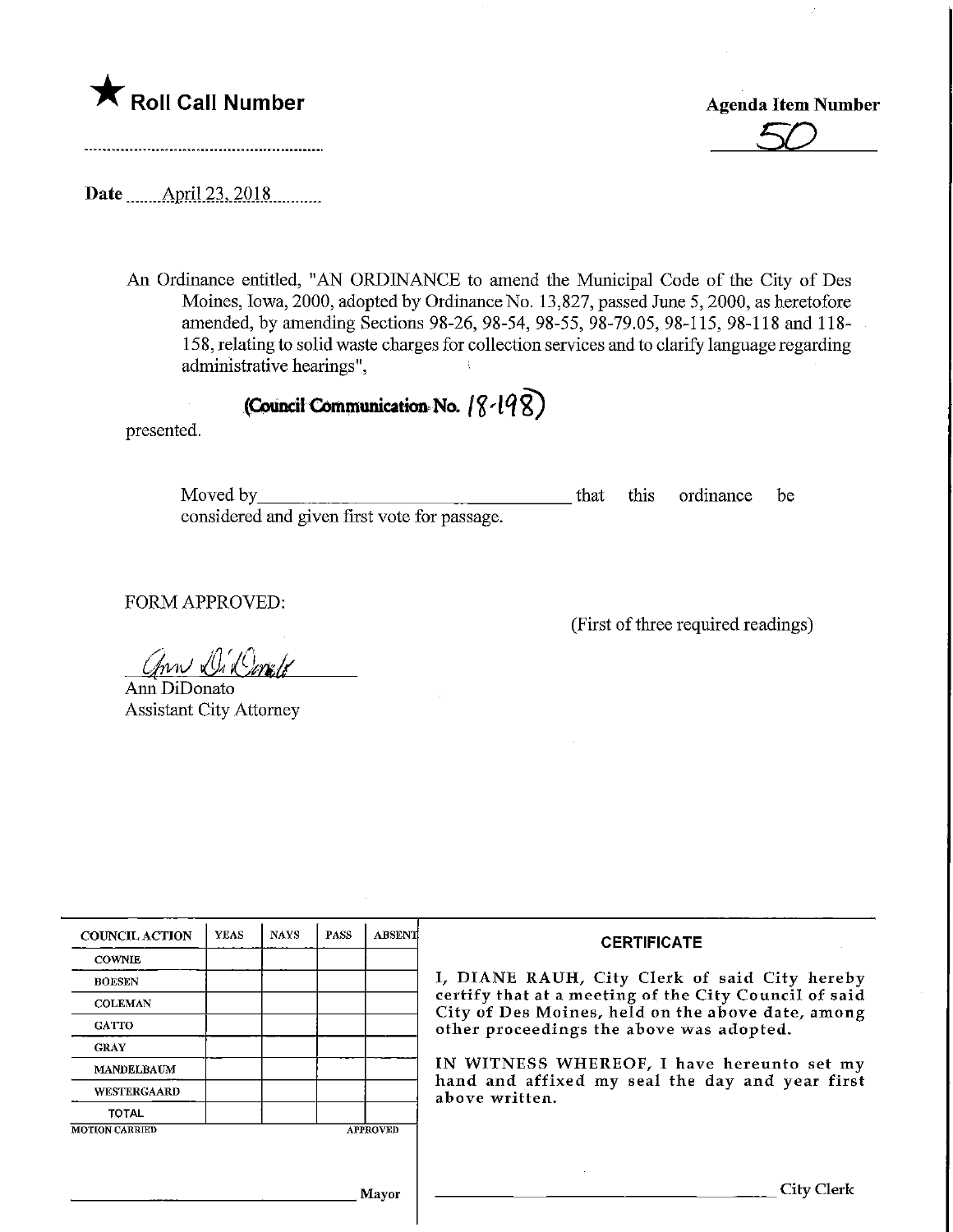

 $\overline{50}$ 

Date ........April 23,.2Q18

An Ordinance entitled, "AN ORDIMANCE to amend the Municipal Code of the City of Des Moines, Iowa, 2000, adopted by Ordinance No. 13,827, passed June 5, 2000, as heretofore amended, by amending Sections 98-26, 98-54, 98-55, 98-79.05, 98-115, 98-118 and 118- 158, relating to solid waste charges for collection services and to clarify language regarding administrative hearings",

(Council Communication No.  $(8.198)$ 

presented.

Moved by\_ moved by <u>example and</u> given first vote for passage. that this ordinance be

FORM APPROVED:

(First of three required readings)

 $\mathcal{C}$ uri de $\ell$ 

Ann DiDonato Assistant City Attorney

| <b>COUNCIL ACTION</b> | <b>YEAS</b> | <b>NAYS</b> | <b>PASS</b> | ABSENT          | <b>CERTIFICATE</b><br>I, DIANE RAUH, City Clerk of said City hereby<br>certify that at a meeting of the City Council of said<br>City of Des Moines, held on the above date, among<br>other proceedings the above was adopted.<br>IN WITNESS WHEREOF, I have hereunto set my<br>hand and affixed my seal the day and year first<br>above written. |
|-----------------------|-------------|-------------|-------------|-----------------|--------------------------------------------------------------------------------------------------------------------------------------------------------------------------------------------------------------------------------------------------------------------------------------------------------------------------------------------------|
| <b>COWNIE</b>         |             |             |             |                 |                                                                                                                                                                                                                                                                                                                                                  |
| <b>BOESEN</b>         |             |             |             |                 |                                                                                                                                                                                                                                                                                                                                                  |
| <b>COLEMAN</b>        |             |             |             |                 |                                                                                                                                                                                                                                                                                                                                                  |
| <b>GATTO</b>          |             |             |             |                 |                                                                                                                                                                                                                                                                                                                                                  |
| <b>GRAY</b>           |             |             |             |                 |                                                                                                                                                                                                                                                                                                                                                  |
| <b>MANDELBAUM</b>     |             |             |             |                 |                                                                                                                                                                                                                                                                                                                                                  |
| <b>WESTERGAARD</b>    |             |             |             |                 |                                                                                                                                                                                                                                                                                                                                                  |
| <b>TOTAL</b>          |             |             |             |                 |                                                                                                                                                                                                                                                                                                                                                  |
| <b>MOTION CARRIED</b> |             |             |             | <b>APPROVED</b> |                                                                                                                                                                                                                                                                                                                                                  |
|                       |             |             |             |                 |                                                                                                                                                                                                                                                                                                                                                  |
|                       |             |             |             |                 |                                                                                                                                                                                                                                                                                                                                                  |
| Mayor                 |             |             |             |                 | City Clerk                                                                                                                                                                                                                                                                                                                                       |
|                       |             |             |             |                 |                                                                                                                                                                                                                                                                                                                                                  |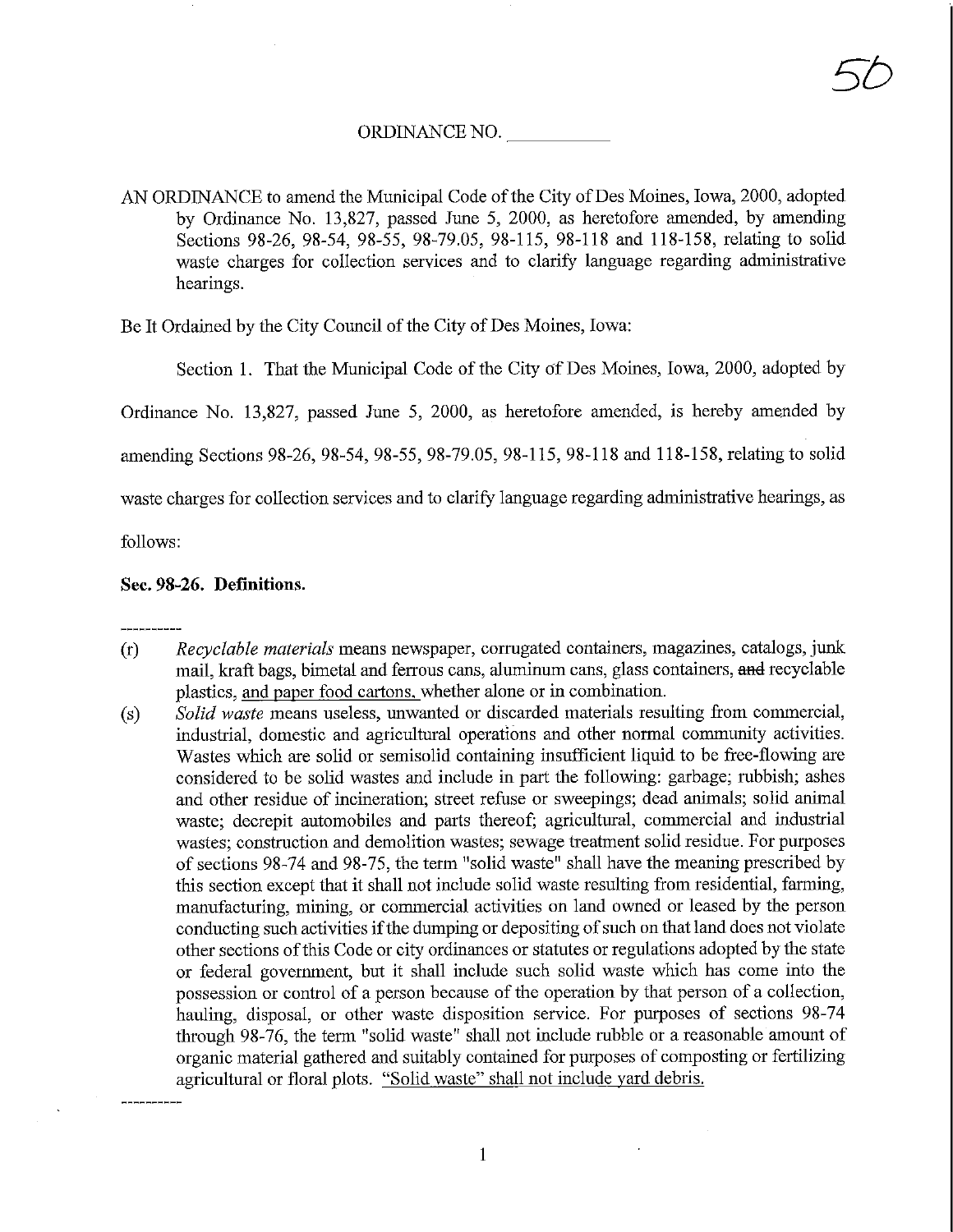#### ORDINANCE NO.

AN ORDINANCE to amend the Municipal Code of the City of Des Moines, Iowa, 2000, adopted by Ordinance No. 13,827, passed June 5, 2000, as heretofore amended, by amending Sections 98-26, 98-54, 98-55, 98-79.05, 98-115, 98-118 and 118-158, relating to solid waste charges for collection services and to clarify language regarding administrative hearings.

Be It Ordained by the City Council of the City of Des Moines, Iowa:

Section 1. That the Municipal Code of the City of Des Moines, Iowa, 2000, adopted by

Ordinance No. 13,827, passed June 5, 2000, as heretofore amended, is hereby amended by

amending Sections 98-26, 98-54, 98-55, 98-79.05, 98-115, 98-118 and 118-158, relating to solid

waste charges for collection services and to clarify language regarding administrative hearings, as

follows:

#### Sec. 98-26. Definitions.

(s) Solid waste means useless, unwanted or discarded materials resulting from commercial, industrial, domestic and agricultural operations and other normal community activities. Wastes which are solid or semisolid containing insufficient liquid to be free-flowing are considered to be solid wastes and include in part the following: garbage; rubbish; ashes and other residue of incineration; street refuse or sweepmgs; dead animals; solid animal waste; decrepit automobiles and parts thereof; agricultural, commercial and industrial wastes; construction and demolition wastes; sewage treatment solid residue. For purposes of sections 98-74 and 98-75, the term "solid waste" shall have the meaning prescribed by this section except that it shall not include solid waste resulting from residential, farming, manufacturing, mining, or commercial activities on land owned or leased by the person conducting such activities if the dumping or depositing of such on that land does not violate other sections of this Code or city ordinances or statutes or regulations adopted by the state or federal government, but it shall include such solid waste which has come into the possession or control of a person because of the operation by that person of a collection, hauling, disposal, or other waste disposition service. For purposes of sections 98-74 through 98-76, the term "solid waste" shall not include mbble or a reasonable amount of organic material gathered and suitably contained for purposes of composting or fertilizing agricultural or floral plots. "Solid waste" shall not include yard debris.

<sup>(</sup>r) Recyclable materials means newspaper, corrugated containers, magazines, catalogs, junk mail, kraft bags, bimetal and ferrous cans, aluminum cans, glass containers, and recyclable plastics, and paper food cartons. whether alone or in combination.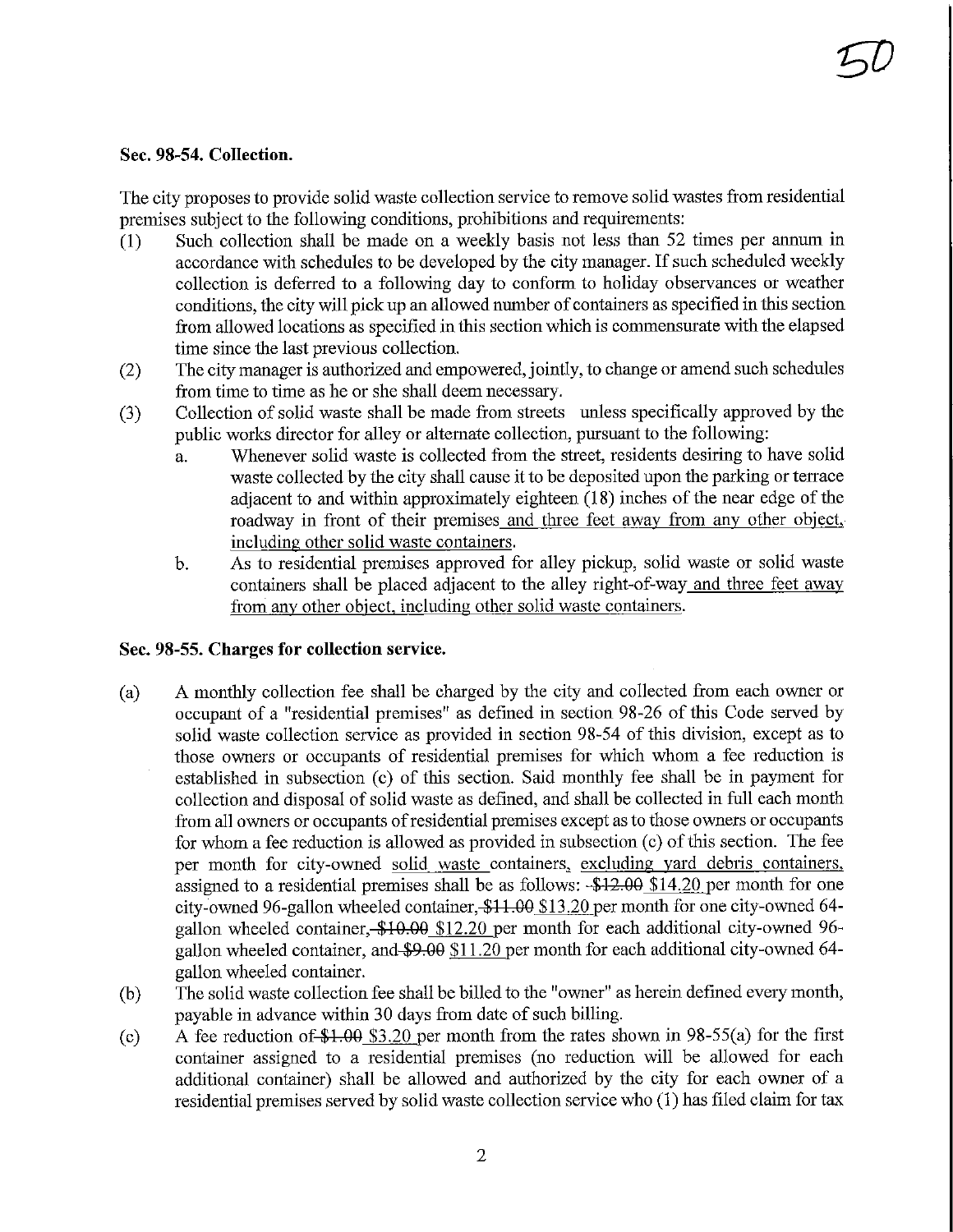# Sec. 98-54. Collection.

The city proposes to provide solid waste collection service to remove solid wastes from residential premises subject to the following conditions, prohibitions and requirements:

- (1) Such collection shall be made on a weekly basis not less than 52 times per annum in accordance with schedules to be developed by the city manager. If such scheduled weekly collection is deferred to a following day to conform to holiday observances or weather conditions, the city will pick up an allowed number of containers as specified in this section from allowed locations as specified in this section which is commensurate with the elapsed time since the last previous collection.
- (2) The city manager is authorized and empowered, jointly, to change or amend such schedules from time to time as he or she shall deem necessary.
- (3) Collection of solid waste shall be made from streets unless specifically approved by the public works director for alley or alternate collection, pursuant to the following:
	- a. Whenever solid waste is collected from the street, residents desiring to have solid waste collected by the city shall cause it to be deposited upon the parking or terrace adjacent to and within approximately eighteen (18) inches of the near edge of the roadway in front of their premises and three feet away from any other object, including other solid waste containers.
	- b. As to residential premises approved for alley pickup, solid waste or solid waste containers shall be placed adjacent to the alley right-of-way and three feet away from any other object, including other solid waste containers.

### Sec. 98-55. Charges for collection service.

- (a) A monthly collection fee shall be charged by the city and collected from each owner or occupant of a "residential premises" as defined in section 98-26 of this Code served by solid waste collection service as provided in section 98-54 of this division, except as to those owners or occupants of residential premises for which whom a fee reduction is established in subsection (c) of this section. Said monthly fee shall be in payment for collection and disposal of solid waste as defined, and shall be collected in full each month from all owners or occupants of residential premises except as to those owners or occupants for whom a fee reduction is allowed as provided in subsection (c) of this section. The fee per month for city-owned solid waste containers, excluding yard debris containers, assigned to a residential premises shall be as follows:  $-12.00$  \$14.20 per month for one city-owned 96-gallon wheeled container, \$11.00 \$13.20 per month for one city-owned 64 gallon wheeled container, \$10.00 \$12.20 per month for each additional city-owned 96 gallon wheeled container, and \$9.00 \$11.20 per month for each additional city-owned 64 gallon wheeled container.
- (b) The solid waste collection fee shall be billed to the "owner" as herein defined every month, payable in advance within 30 days from date of such billing.
- (c) A fee reduction of  $$1.00$  \$3.20 per month from the rates shown in 98-55(a) for the first container assigned to a residential premises (no reduction will be allowed for each additional container) shall be allowed and authorized by the city for each owner of a residential premises served by solid waste collection service who (1) has filed claim for tax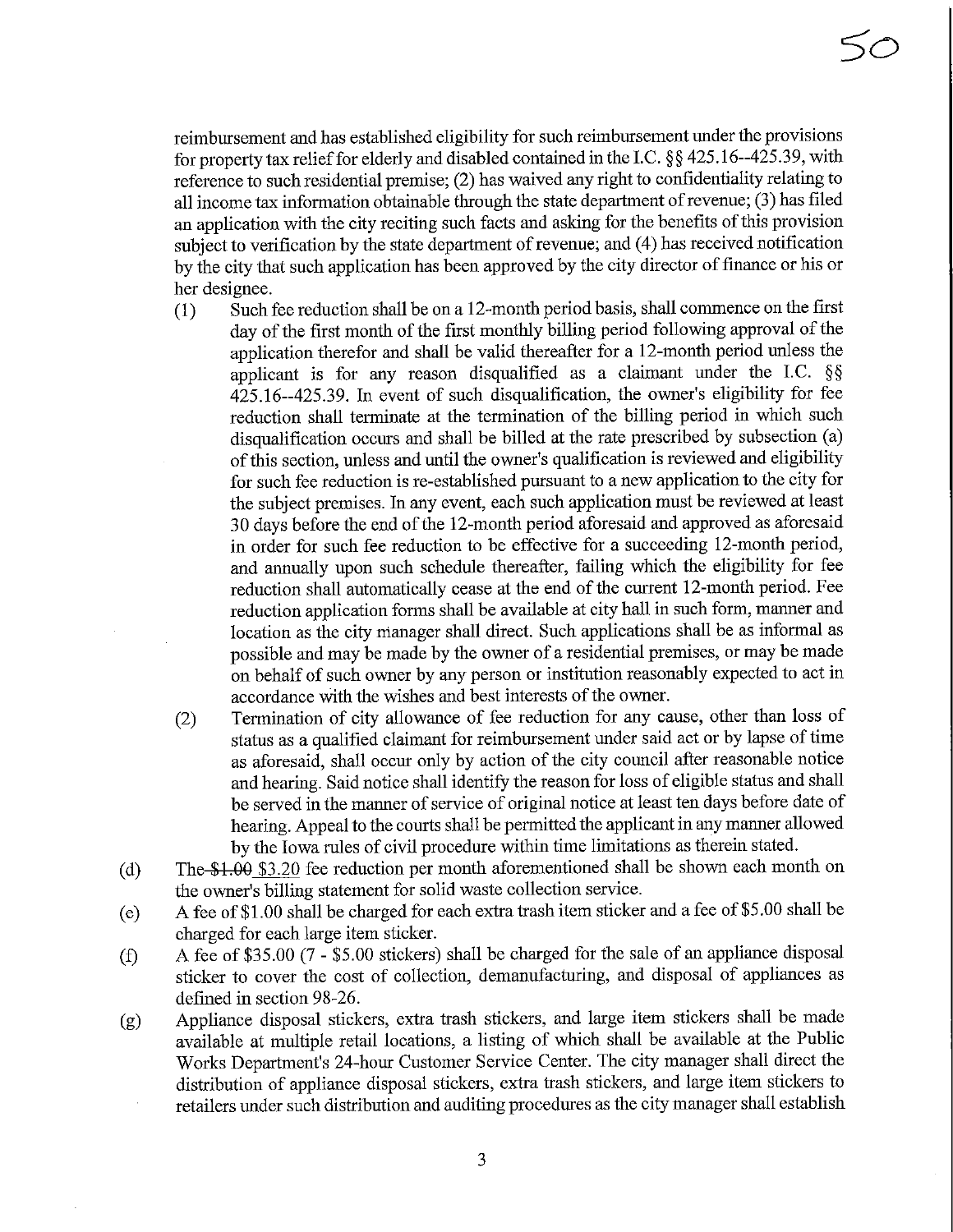reimbursement and has established eligibility for such reimbursement under the provisions for property tax relief for elderly and disabled contained in the I.C. §§ 425.16—425.39, with reference to such residential premise; (2) has waived any right to confidentiality relating to all income tax information obtainable through the state department of revenue; (3) has filed an application with the city reciting such facts and asking for the benefits of this provision subject to verification by the state department of revenue; and (4) has received notification by the city that such application has been approved by the city director of finance or his or her designee.

5o

- (1) Such fee reduction shall be on a 12-month period basis, shall commence on the first day of the first month of the first monthly billing period following approval of the application therefor and shall be valid thereafter for a 12-month period unless the applicant is for any reason disqualified as a claimant under the I.C. §§ 425.16-425.39. In event of such disqualification, the owner's eligibility for fee reduction shall terminate at the termination of the billing period in which such disqualification occurs and shall be billed at the rate prescribed by subsection (a) of this section, unless and until the owner's qualification is reviewed and eligibility for such fee reduction is re-established pursuant to a new application to the city for the subject premises. In any event, each such application must be reviewed at least 30 days before the end of the 12-month period aforesaid and approved as aforesaid in order for such fee reduction to be effective for a succeedmg 12-month period, and annually upon such schedule thereafter, failing which the eligibility for fee reduction shall automatically cease at the end of the current 12-month period. Fee reduction application forms shall be available at city hall in such form, manner and location as the city manager shall direct. Such applications shall be as informal as possible and may be made by the owner of a residential premises, or may be made on behalf of such owner by any person or institution reasonably expected to act in accordance with the wishes and best interests of the owner.
- (2) Termination of city allowance of fee reduction for any cause, other than loss of status as a qualified claimant for reimbursement under said act or by lapse of time as aforesaid, shall occur only by action of the city council after reasonable notice and hearing. Said notice shall identify the reason for loss of eligible status and shall be served in the manner of service of original notice at least ten days before date of hearing. Appeal to the courts shall be permitted the applicant in any manner allowed by the Iowa rules of civil procedure within time limitations as therein stated.
- (d) The \$1.00 \$3.20 fee reduction per month aforementioned shall be shown each month on the owner's billing statement for solid waste collection service.
- (e) A fee of \$1.00 shall be charged for each extra frash item sticker and a fee of \$5.00 shall be charged for each large item sticker.
- (f) A fee of \$35.00 (7 \$5.00 stickers) shall be charged for the sale of an appliance disposal sticker to cover the cost of collection, demanufacturing, and disposal of appliances as defined in section 98-26.
- (g) Appliance disposal stickers, extra trash stickers, and large item stickers shall be made available at multiple retail locations, a listing of which shall be available at the Public Works Department's 24-hour Customer Service Center. The city manager shall direct the distribution of appliance disposal stickers, extra trash stickers, and large item stickers to retailers under such distribution and auditing procedures as the city manager shall establish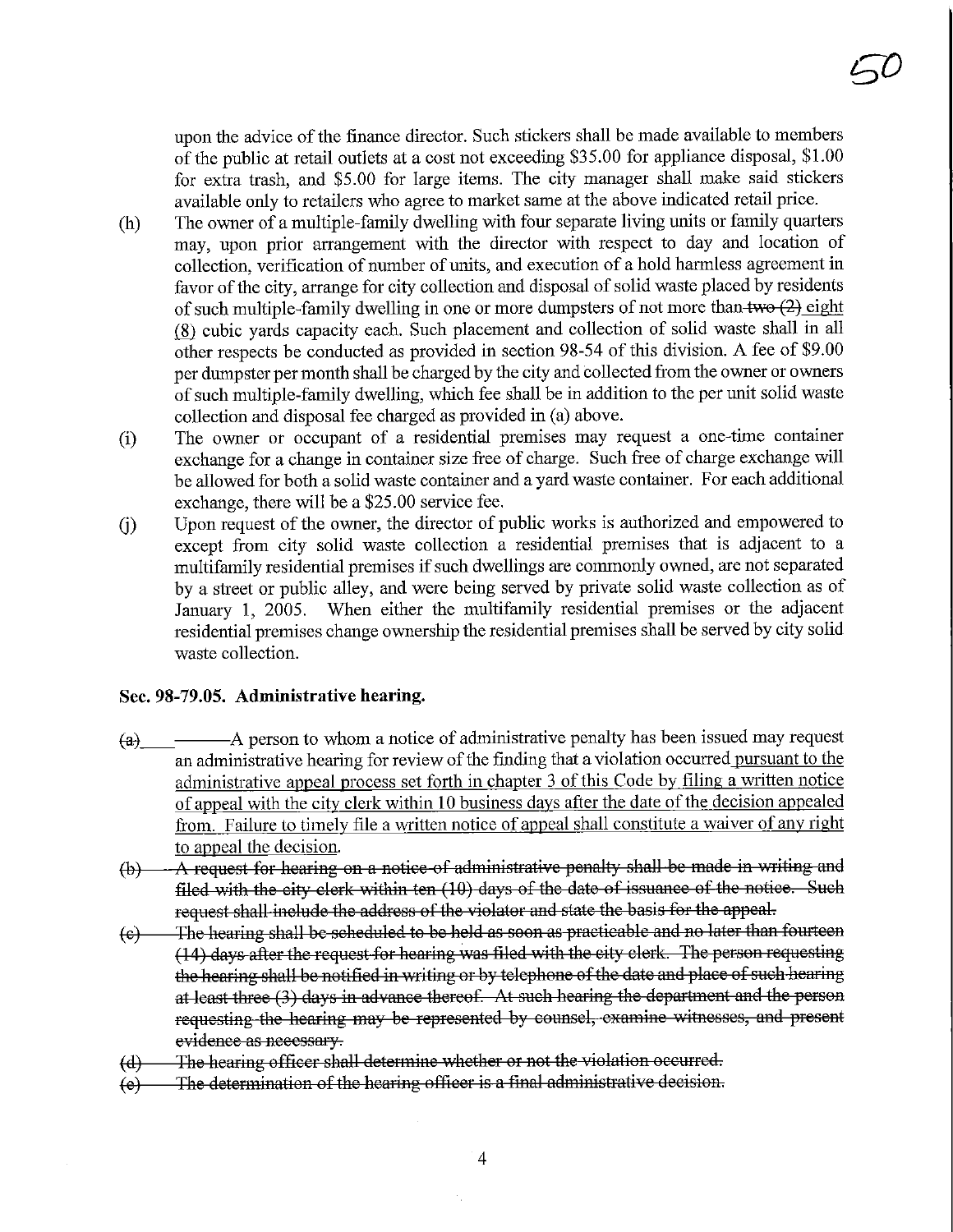upon the advice of the finance director. Such stickers shall be made available to members of the public at retail outlets at a cost not exceeding \$35.00 for appliance disposal, \$1.00 for extra trash, and \$5.00 for large items. The city manager shall make said stickers available only to retailers who agree to market same at the above indicated retail price.

- (h) The owner of a multiple-family dwelling with four separate living units or family quarters may, upon prior arrangement with the director with respect to day and location of collection, verification of number of units, and execution of a hold harmless agreement in favor of the city, arrange for city collection and disposal of solid waste placed by residents of such multiple-family dwelling in one or more dumpsters of not more than two  $(2)$  eight (8) cubic yards capacity each. Such placement and collection of solid waste shall in all other respects be conducted as provided m section 98-54 of this division. A fee of \$9.00 per dumpster per month shall be charged by the city and collected from the owner or owners of such multiple-family dwelling, which fee shall be in addition to the per unit solid waste collection and disposal fee charged as provided in (a) above.
- (i) The owner or occupant of a residential premises may request a one-time container exchange for a change in container size free of charge. Such free of charge exchange will be allowed for both a solid waste container and a yard waste contamer. For each additional exchange, there will be a \$25.00 service fee.
- (i) Upon request of the owner, the director of public works is authorized and empowered to except from city solid waste collection a residential premises that is adjacent to a multifamily residential premises if such dwellings are commonly owned, are not separated by a street or public alley, and were being served by private solid waste collection as of January 1, 2005. When either the multifamily residential premises or the adjacent residential premises change ownership the residential premises shall be served by city solid waste collection.

### Sec. 98-79.05. Administrative hearing.

- $\overline{(a)}$  ——A person to whom a notice of administrative penalty has been issued may request an administrative hearing for review of the finding that a violation occurred pursuant to the administrative appeal process set forth in chapter 3 of this Code by filing a written notice of appeal with the city clerk within 10 business days after the date of the decision appealed from. Failure to timely file a written notice of appeal shall constitute a waiver of any right to appeal the decision.
- $(b)$   $-A$  request for hearing on a notice of administrative penalty shall be made in writing and filed with the city clerk within ten (10) days of the date of issuance of the notice. Such request shall include the address of the violator and state the basis for the appeal.
- $(e)$  The hearing shall be scheduled to be held as soon as practicable and no later than fourteen (14) days after the request for hearing was filed with the city clerk. The person requesting the hearing shall be notified in writing or by telephone of the date and place of such hearing at least three (3) days in advance thereof. At such hearing the department and the person requesting the hearing may be represented by counsel, examine witnesses, and present evidence as necessary.
- (d)—The hearing officer shall determine whether or not the violation occurred.
- $(e)$  The determination of the hearing officer is a final administrative decision.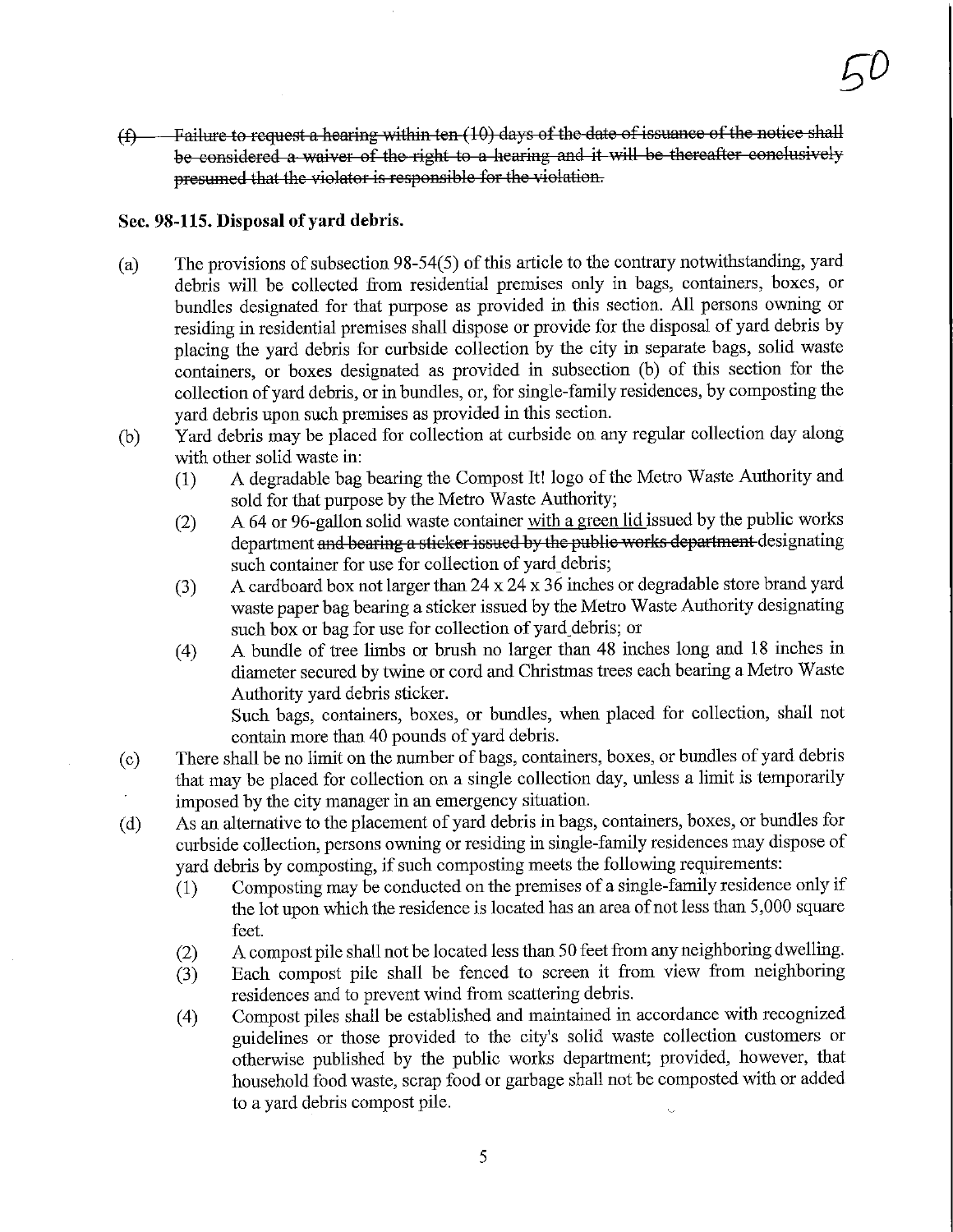$(f)$ ——Failure to request a hearing within ten (10) days of the date of issuance of the notice shall be considered a waiver of the right to a hearing and it will be thereafter conclusively presumed that the violator is responsible for the violation.

# Sec. 98-115. Disposal of yard debris.

- (a) The provisions of subsection 98-54(5) of this article to the contrary notwithstanding, yard debris will be collected from residential premises only in bags, containers, boxes, or bundles designated for that purpose as provided in this section. All persons owning or residing m residential premises shall dispose or provide for the disposal of yard debris by placing the yard debris for curbside collection by the city in separate bags, solid waste containers, or boxes designated as provided in subsection (b) of this section for the collection of yard debris, or in bundles, or, for single-family residences, by composting the yard debris upon such premises as provided in this section.
- (b) Yard debris may be placed for collection at curbside on any regular collection day along with other solid waste in:
	- (1) A degradable bag bearmg the Compost It! logo of the Metro Waste Authority and sold for that purpose by the Metro Waste Authority;
	- $(2)$  A 64 or 96-gallon solid waste container with a green lid issued by the public works department and bearing a sticker issued by the public works department designating such container for use for collection of yard debris;
	- (3) A cardboard box not larger than 24 x 24 x 36 inches or degradable store brand yard waste paper bag bearing a sticker issued by the Metro Waste Authority designating such box or bag for use for collection of yard debris; or
	- (4) A bundle of free limbs or brush no larger than 48 inches long and 18 inches in diameter secured by twine or cord and Christmas trees each bearing a Metro Waste Authority yard debris sticker.

Such bags, contamers, boxes, or bundles, when placed for collection, shall not contain more than 40 pounds of yard debris.

- (c) There shall be no limit on the number of bags, containers, boxes, or bundles of yard debris that may be placed for collection on a single collection day, unless a limit is temporarily imposed by the city manager in an emergency situation.
- (d) As an alternative to the placement of yard debris in bags, containers, boxes, or bundles for curbside collection, persons owning or residing m single-family residences may dispose of yard debris by composting, if such composting meets the following requirements:
	- (1) Composting may be conducted on the premises of a single-family residence only if the lot upon which the residence is located has an area of not less than 5,000 square feet.
	- (2) A compost pile shall not be located less than 50 feet from any neighboring dwelling.
	- (3) Each compost pile shall be fenced to screen it from view from neighboring residences and to prevent wind from scattering debris.
	- (4) Compost piles shall be established and maintained in accordance with recognized guidelines or those provided to the city's solid waste collection customers or otherwise published by the public works department; provided, however, that household food waste, scrap food or garbage shall not be composted with or added to a yard debris compost pile.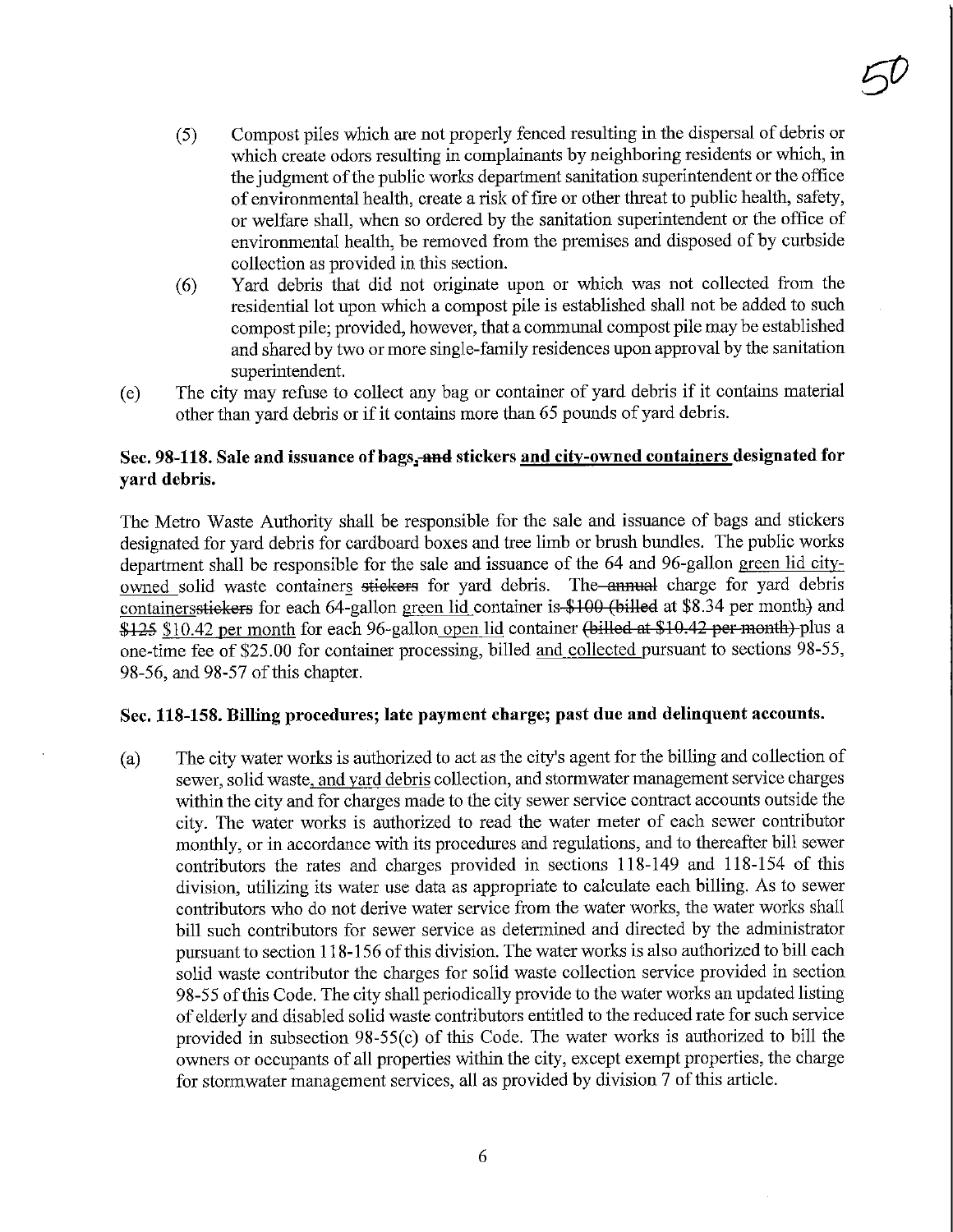- (5) Compost piles which are not properly fenced resulting in the dispersal of debris or which create odors resulting in complainants by neighboring residents or which, in the judgment of the public works department sanitation superintendent or the office of environmental health, create a risk of fire or other threat to public health, safety, or welfare shall, when so ordered by the sanitation superintendent or the office of environmental health, be removed from the premises and disposed of by curbside collection as provided in this section.
- (6) Yard debris that did not originate upon or which was not collected from the residential lot upon which a compost pile is established shall not be added to such compost pile; provided, however, that a communal compost pile may be established and shared by two or more single-family residences upon approval by the sanitation superintendent.
- (e) The city may refuse to collect any bag or container of yard debris if it contains material other than yard debris or if it contains more than 65 pounds of yard debris.

# Sec. 98-118. Sale and issuance of bags, and stickers and city-owned containers designated for yard debris.

The Metro Waste Authority shall be responsible for the sale and issuance of bags and stickers designated for yard debris for cardboard boxes and tree limb or brush bundles. The public works department shall be responsible for the sale and issuance of the 64 and 96-gallon green lid cityowned solid waste containers stickers for yard debris. The-annual charge for yard debris containersstickers for each 64-gallon green lid container is-\$100 (billed at \$8.34 per month) and \$125 \$10.42 per month for each 96-gallon open lid container (billed at \$10.42 per month) plus a one-time fee of \$25.00 for contamer processing, billed and collected pursuant to sections 98-55, 98-56, and 98-57 of this chapter.

# Sec. 118-158. Billing procedures; late payment charge; past due and delinquent accounts.

(a) The city water works is authorized to act as the city's agent for the billing and collection of sewer, solid waste, and yard debris collection, and stormwater management service charges within the city and for charges made to the city sewer service contract accounts outside the city. The water works is authorized to read the water meter of each sewer contributor monthly, or in accordance with its procedures and regulations, and to thereafter bill sewer contributors the rates and charges provided in sections 118-149 and 118-154 of this division, utilizing its water use data as appropriate to calculate each billing. As to sewer contributors who do not derive water service from the water works, the water works shall bill such contributors for sewer service as determined and directed by the administrator pursuant to section 11 8-156 of this division. The water works is also authorized to bill each solid waste contributor the charges for solid waste collection service provided in section 98-55 of this Code. The city shall periodically provide to the water works an updated listing of elderly and disabled solid waste contributors entitled to the reduced rate for such service provided in subsection 98-55(c) of this Code. The water works is authorized to bill the owners or occupants of all properties within the city, except exempt properties, the charge for stormwater management services, all as provided by division 7 of this article.